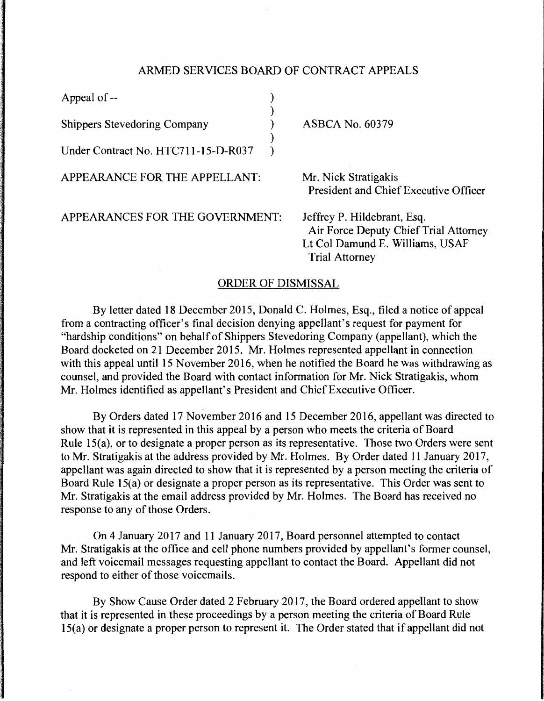## ARMED SERVICES BOARD OF CONTRACT APPEALS

| Appeal of --                        |  |                                                                                                                                  |
|-------------------------------------|--|----------------------------------------------------------------------------------------------------------------------------------|
| <b>Shippers Stevedoring Company</b> |  | <b>ASBCA No. 60379</b>                                                                                                           |
| Under Contract No. HTC711-15-D-R037 |  |                                                                                                                                  |
| APPEARANCE FOR THE APPELLANT:       |  | Mr. Nick Stratigakis<br>President and Chief Executive Officer                                                                    |
| APPEARANCES FOR THE GOVERNMENT:     |  | Jeffrey P. Hildebrant, Esq.<br>Air Force Deputy Chief Trial Attorney<br>Lt Col Damund E. Williams, USAF<br><b>Trial Attorney</b> |

## ORDER OF DISMISSAL

By letter dated 18 December 2015, Donald C. Holmes, Esq., filed a notice of appeal from a contracting officer's final decision denying appellant's request for payment for "hardship conditions" on behalf of Shippers Stevedoring Company (appellant), which the Board docketed on 21 December 2015. Mr. Holmes represented appellant in connection with this appeal until 15 November 2016, when he notified the Board he was withdrawing as counsel, and provided the Board with contact information for Mr. Nick Stratigakis, whom Mr. Holmes identified as appellant's President and Chief Executive Officer.

By Orders dated 17 November 2016 and 15 December 2016, appellant was directed to show that it is represented in this appeal by a person who meets the criteria of Board Rule 15(a), or to designate a proper person as its representative. Those two Orders were sent to Mr. Stratigakis at the address provided by Mr. Holmes. By Order dated 11 January 2017, appellant was again directed to show that it is represented by a person meeting the criteria of Board Rule 15(a) or designate a proper person as its representative. This Order was sent to Mr. Stratigakis at the email address provided by Mr. Holmes. The Board has received no response to any of those Orders.

On 4 January 2017 and 11 January 2017, Board personnel attempted to contact Mr. Stratigakis at the office and cell phone numbers provided by appellant's former counsel, and left voicemail messages requesting appellant to contact the Board. Appellant did not respond to either of those voicemails.

By Show Cause Order dated 2 February 2017, the Board ordered appellant to show that it is represented in these proceedings by a person meeting the criteria of Board Rule 15(a) or designate a proper person to represent it. The Order stated that if appellant did not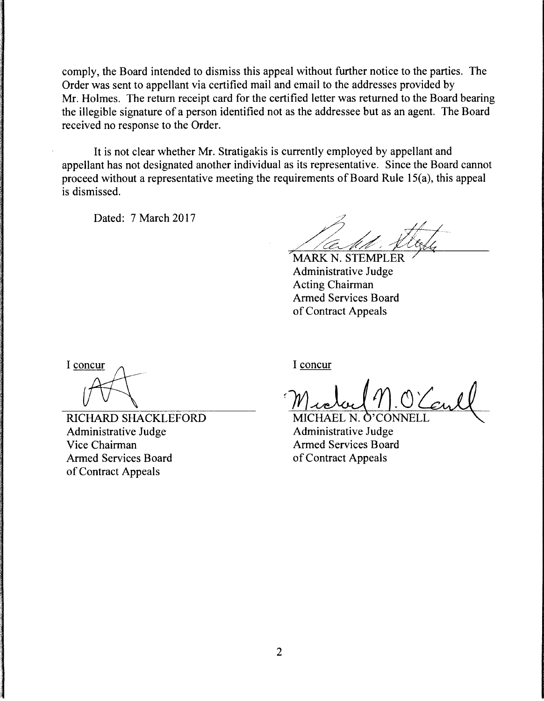comply, the Board intended to dismiss this appeal without further notice to the parties. The Order was sent to appellant via certified mail and email to the addresses provided by Mr. Holmes. The return receipt card for the certified letter was returned to the Board bearing the illegible signature of a person identified not as the addressee but as an agent. The Board received no response to the Order.

It is not clear whether Mr. Stratigakis is currently employed by appellant and appellant has not designated another individual as its representative. Since the Board cannot proceed without a representative meeting the requirements of Board Rule 15(a), this appeal is dismissed.

Dated: 7 March 2017

MARK N. STEMPLER Administrative Judge Acting Chairman Armed Services Board of Contract Appeals

I concur

RICHARD SHACKLEFORD Administrative Judge Vice Chairman Armed Services Board of Contract Appeals

I concur

Madae 1.0'Connell

Administrative Judge Armed Services Board of Contract Appeals